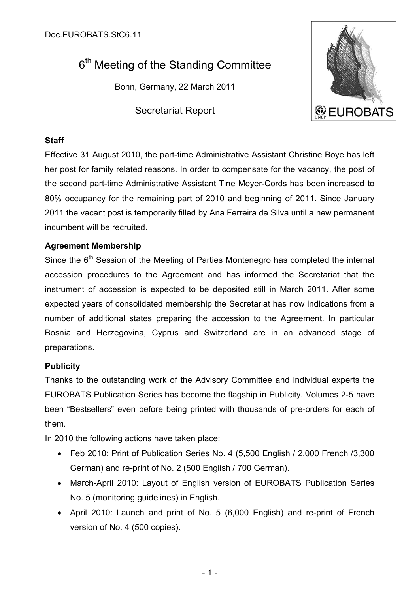# 6<sup>th</sup> Meeting of the Standing Committee

Bonn, Germany, 22 March 2011

Secretariat Report



## **Staff**

Effective 31 August 2010, the part-time Administrative Assistant Christine Boye has left her post for family related reasons. In order to compensate for the vacancy, the post of the second part-time Administrative Assistant Tine Meyer-Cords has been increased to 80% occupancy for the remaining part of 2010 and beginning of 2011. Since January 2011 the vacant post is temporarily filled by Ana Ferreira da Silva until a new permanent incumbent will be recruited.

## **Agreement Membership**

Since the 6<sup>th</sup> Session of the Meeting of Parties Montenegro has completed the internal accession procedures to the Agreement and has informed the Secretariat that the instrument of accession is expected to be deposited still in March 2011. After some expected years of consolidated membership the Secretariat has now indications from a number of additional states preparing the accession to the Agreement. In particular Bosnia and Herzegovina, Cyprus and Switzerland are in an advanced stage of preparations.

## **Publicity**

Thanks to the outstanding work of the Advisory Committee and individual experts the EUROBATS Publication Series has become the flagship in Publicity. Volumes 2-5 have been "Bestsellers" even before being printed with thousands of pre-orders for each of them.

In 2010 the following actions have taken place:

- Feb 2010: Print of Publication Series No. 4 (5,500 English / 2,000 French /3,300 German) and re-print of No. 2 (500 English / 700 German).
- March-April 2010: Layout of English version of EUROBATS Publication Series No. 5 (monitoring guidelines) in English.
- April 2010: Launch and print of No. 5 (6,000 English) and re-print of French version of No. 4 (500 copies).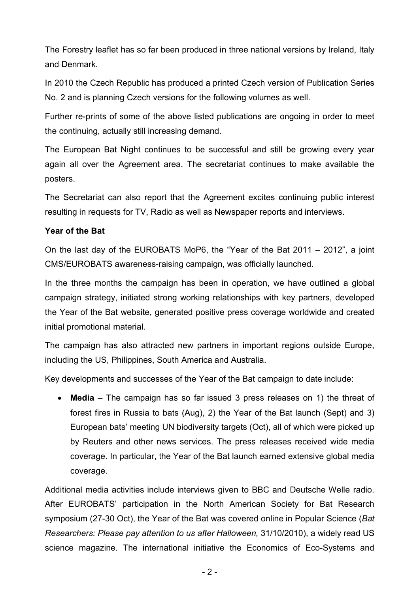The Forestry leaflet has so far been produced in three national versions by Ireland, Italy and Denmark.

In 2010 the Czech Republic has produced a printed Czech version of Publication Series No. 2 and is planning Czech versions for the following volumes as well.

Further re-prints of some of the above listed publications are ongoing in order to meet the continuing, actually still increasing demand.

The European Bat Night continues to be successful and still be growing every year again all over the Agreement area. The secretariat continues to make available the posters.

The Secretariat can also report that the Agreement excites continuing public interest resulting in requests for TV, Radio as well as Newspaper reports and interviews.

### **Year of the Bat**

On the last day of the EUROBATS MoP6, the "Year of the Bat 2011 – 2012", a joint CMS/EUROBATS awareness-raising campaign, was officially launched.

In the three months the campaign has been in operation, we have outlined a global campaign strategy, initiated strong working relationships with key partners, developed the Year of the Bat website, generated positive press coverage worldwide and created initial promotional material.

The campaign has also attracted new partners in important regions outside Europe, including the US, Philippines, South America and Australia.

Key developments and successes of the Year of the Bat campaign to date include:

 **Media** – The campaign has so far issued 3 press releases on 1) the threat of forest fires in Russia to bats (Aug), 2) the Year of the Bat launch (Sept) and 3) European bats' meeting UN biodiversity targets (Oct), all of which were picked up by Reuters and other news services. The press releases received wide media coverage. In particular, the Year of the Bat launch earned extensive global media coverage.

Additional media activities include interviews given to BBC and Deutsche Welle radio. After EUROBATS' participation in the North American Society for Bat Research symposium (27-30 Oct), the Year of the Bat was covered online in Popular Science (*Bat Researchers: Please pay attention to us after Halloween,* 31/10/2010), a widely read US science magazine. The international initiative the Economics of Eco-Systems and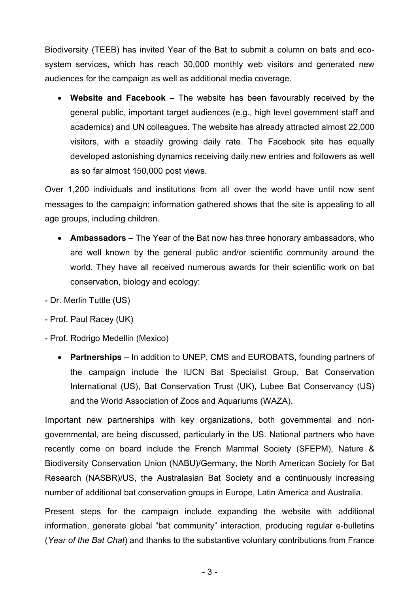Biodiversity (TEEB) has invited Year of the Bat to submit a column on bats and ecosystem services, which has reach 30,000 monthly web visitors and generated new audiences for the campaign as well as additional media coverage.

 **Website and Facebook** – The website has been favourably received by the general public, important target audiences (e.g., high level government staff and academics) and UN colleagues. The website has already attracted almost 22,000 visitors, with a steadily growing daily rate. The Facebook site has equally developed astonishing dynamics receiving daily new entries and followers as well as so far almost 150,000 post views.

Over 1,200 individuals and institutions from all over the world have until now sent messages to the campaign; information gathered shows that the site is appealing to all age groups, including children.

- **Ambassadors** The Year of the Bat now has three honorary ambassadors, who are well known by the general public and/or scientific community around the world. They have all received numerous awards for their scientific work on bat conservation, biology and ecology:
- Dr. Merlin Tuttle (US)
- Prof. Paul Racey (UK)
- Prof. Rodrigo Medellin (Mexico)
	- **Partnerships** In addition to UNEP, CMS and EUROBATS, founding partners of the campaign include the IUCN Bat Specialist Group, Bat Conservation International (US), Bat Conservation Trust (UK), Lubee Bat Conservancy (US) and the World Association of Zoos and Aquariums (WAZA).

Important new partnerships with key organizations, both governmental and nongovernmental, are being discussed, particularly in the US. National partners who have recently come on board include the French Mammal Society (SFEPM), Nature & Biodiversity Conservation Union (NABU)/Germany, the North American Society for Bat Research (NASBR)/US, the Australasian Bat Society and a continuously increasing number of additional bat conservation groups in Europe, Latin America and Australia.

Present steps for the campaign include expanding the website with additional information, generate global "bat community" interaction, producing regular e-bulletins (*Year of the Bat Chat*) and thanks to the substantive voluntary contributions from France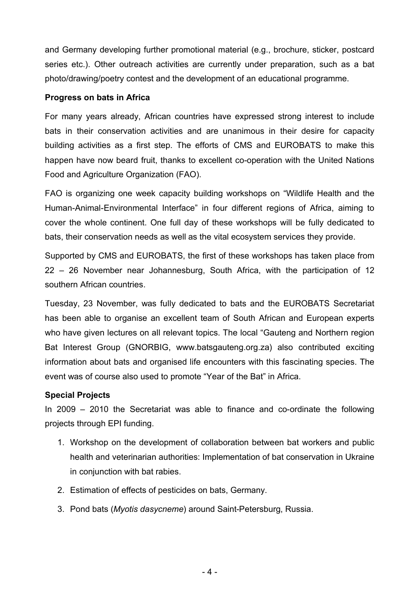and Germany developing further promotional material (e.g., brochure, sticker, postcard series etc.). Other outreach activities are currently under preparation, such as a bat photo/drawing/poetry contest and the development of an educational programme.

#### **Progress on bats in Africa**

For many years already, African countries have expressed strong interest to include bats in their conservation activities and are unanimous in their desire for capacity building activities as a first step. The efforts of CMS and EUROBATS to make this happen have now beard fruit, thanks to excellent co-operation with the United Nations Food and Agriculture Organization (FAO).

FAO is organizing one week capacity building workshops on "Wildlife Health and the Human-Animal-Environmental Interface" in four different regions of Africa, aiming to cover the whole continent. One full day of these workshops will be fully dedicated to bats, their conservation needs as well as the vital ecosystem services they provide.

Supported by CMS and EUROBATS, the first of these workshops has taken place from 22 – 26 November near Johannesburg, South Africa, with the participation of 12 southern African countries.

Tuesday, 23 November, was fully dedicated to bats and the EUROBATS Secretariat has been able to organise an excellent team of South African and European experts who have given lectures on all relevant topics. The local "Gauteng and Northern region Bat Interest Group (GNORBIG, <www.batsgauteng.org.za>) also contributed exciting information about bats and organised life encounters with this fascinating species. The event was of course also used to promote "Year of the Bat" in Africa.

### **Special Projects**

In 2009 – 2010 the Secretariat was able to finance and co-ordinate the following projects through EPI funding.

- 1. Workshop on the development of collaboration between bat workers and public health and veterinarian authorities: Implementation of bat conservation in Ukraine in conjunction with bat rabies.
- 2. Estimation of effects of pesticides on bats, Germany.
- 3. Pond bats (*Myotis dasycneme*) around Saint-Petersburg, Russia.